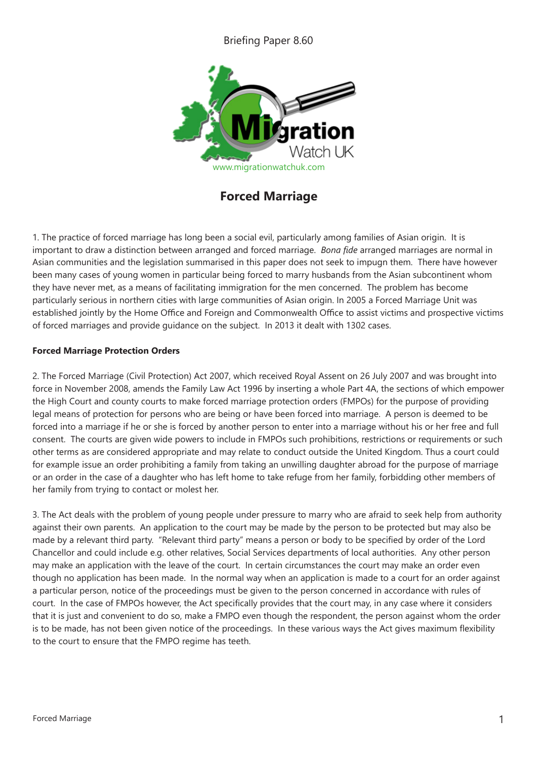## Briefing Paper 8.60



**Forced Marriage**

1. The practice of forced marriage has long been a social evil, particularly among families of Asian origin. It is important to draw a distinction between arranged and forced marriage. *Bona fide* arranged marriages are normal in Asian communities and the legislation summarised in this paper does not seek to impugn them. There have however been many cases of young women in particular being forced to marry husbands from the Asian subcontinent whom they have never met, as a means of facilitating immigration for the men concerned. The problem has become particularly serious in northern cities with large communities of Asian origin. In 2005 a Forced Marriage Unit was established jointly by the Home Office and Foreign and Commonwealth Office to assist victims and prospective victims of forced marriages and provide guidance on the subject. In 2013 it dealt with 1302 cases.

## **Forced Marriage Protection Orders**

2. The Forced Marriage (Civil Protection) Act 2007, which received Royal Assent on 26 July 2007 and was brought into force in November 2008, amends the Family Law Act 1996 by inserting a whole Part 4A, the sections of which empower the High Court and county courts to make forced marriage protection orders (FMPOs) for the purpose of providing legal means of protection for persons who are being or have been forced into marriage. A person is deemed to be forced into a marriage if he or she is forced by another person to enter into a marriage without his or her free and full consent. The courts are given wide powers to include in FMPOs such prohibitions, restrictions or requirements or such other terms as are considered appropriate and may relate to conduct outside the United Kingdom. Thus a court could for example issue an order prohibiting a family from taking an unwilling daughter abroad for the purpose of marriage or an order in the case of a daughter who has left home to take refuge from her family, forbidding other members of her family from trying to contact or molest her.

3. The Act deals with the problem of young people under pressure to marry who are afraid to seek help from authority against their own parents. An application to the court may be made by the person to be protected but may also be made by a relevant third party. "Relevant third party" means a person or body to be specified by order of the Lord Chancellor and could include e.g. other relatives, Social Services departments of local authorities. Any other person may make an application with the leave of the court. In certain circumstances the court may make an order even though no application has been made. In the normal way when an application is made to a court for an order against a particular person, notice of the proceedings must be given to the person concerned in accordance with rules of court. In the case of FMPOs however, the Act specifically provides that the court may, in any case where it considers that it is just and convenient to do so, make a FMPO even though the respondent, the person against whom the order is to be made, has not been given notice of the proceedings. In these various ways the Act gives maximum flexibility to the court to ensure that the FMPO regime has teeth.